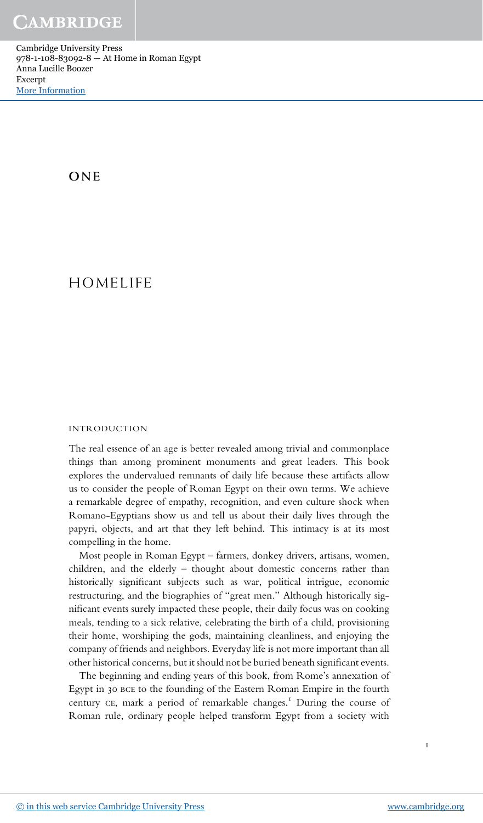Cambridge University Press 978-1-108-83092-8 — At Home in Roman Egypt Anna Lucille Boozer Excerpt [More Information](www.cambridge.org/9781108830928)

**ONE** 

## HOMELIFE

## INTRODUCTION

The real essence of an age is better revealed among trivial and commonplace things than among prominent monuments and great leaders. This book explores the undervalued remnants of daily life because these artifacts allow us to consider the people of Roman Egypt on their own terms. We achieve a remarkable degree of empathy, recognition, and even culture shock when Romano-Egyptians show us and tell us about their daily lives through the papyri, objects, and art that they left behind. This intimacy is at its most compelling in the home.

Most people in Roman Egypt – farmers, donkey drivers, artisans, women, children, and the elderly – thought about domestic concerns rather than historically significant subjects such as war, political intrigue, economic restructuring, and the biographies of "great men." Although historically significant events surely impacted these people, their daily focus was on cooking meals, tending to a sick relative, celebrating the birth of a child, provisioning their home, worshiping the gods, maintaining cleanliness, and enjoying the company of friends and neighbors. Everyday life is not more important than all other historical concerns, but it should not be buried beneath significant events.

The beginning and ending years of this book, from Rome's annexation of Egypt in 30 bce to the founding of the Eastern Roman Empire in the fourth century CE, mark a period of remarkable changes.<sup>1</sup> During the course of Roman rule, ordinary people helped transform Egypt from a society with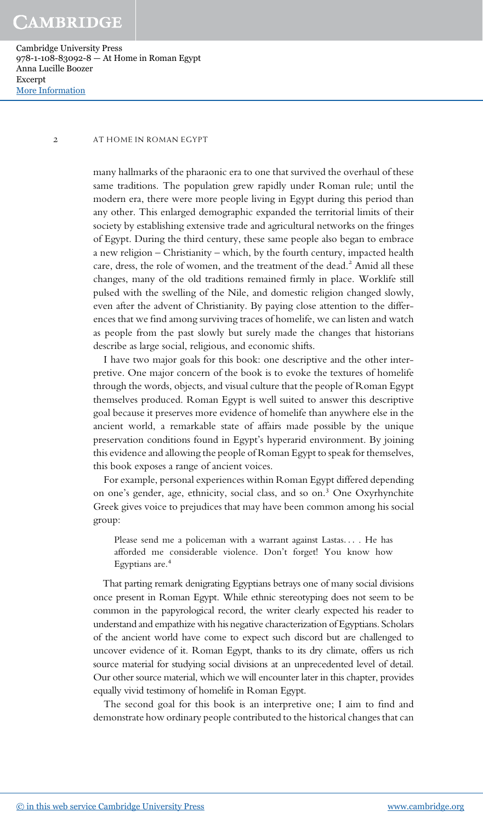Cambridge University Press 978-1-108-83092-8 — At Home in Roman Egypt Anna Lucille Boozer Excerpt [More Information](www.cambridge.org/9781108830928)

## 2 AT HOME IN ROMAN EGYPT

many hallmarks of the pharaonic era to one that survived the overhaul of these same traditions. The population grew rapidly under Roman rule; until the modern era, there were more people living in Egypt during this period than any other. This enlarged demographic expanded the territorial limits of their society by establishing extensive trade and agricultural networks on the fringes of Egypt. During the third century, these same people also began to embrace a new religion – Christianity – which, by the fourth century, impacted health care, dress, the role of women, and the treatment of the dead.<sup>2</sup> Amid all these changes, many of the old traditions remained firmly in place. Worklife still pulsed with the swelling of the Nile, and domestic religion changed slowly, even after the advent of Christianity. By paying close attention to the differences that we find among surviving traces of homelife, we can listen and watch as people from the past slowly but surely made the changes that historians describe as large social, religious, and economic shifts.

I have two major goals for this book: one descriptive and the other interpretive. One major concern of the book is to evoke the textures of homelife through the words, objects, and visual culture that the people of Roman Egypt themselves produced. Roman Egypt is well suited to answer this descriptive goal because it preserves more evidence of homelife than anywhere else in the ancient world, a remarkable state of affairs made possible by the unique preservation conditions found in Egypt's hyperarid environment. By joining this evidence and allowing the people of Roman Egypt to speak for themselves, this book exposes a range of ancient voices.

For example, personal experiences within Roman Egypt differed depending on one's gender, age, ethnicity, social class, and so on.<sup>3</sup> One Oxyrhynchite Greek gives voice to prejudices that may have been common among his social group:

Please send me a policeman with a warrant against Lastas... . He has afforded me considerable violence. Don't forget! You know how Egyptians are.<sup>4</sup>

That parting remark denigrating Egyptians betrays one of many social divisions once present in Roman Egypt. While ethnic stereotyping does not seem to be common in the papyrological record, the writer clearly expected his reader to understand and empathize with his negative characterization of Egyptians. Scholars of the ancient world have come to expect such discord but are challenged to uncover evidence of it. Roman Egypt, thanks to its dry climate, offers us rich source material for studying social divisions at an unprecedented level of detail. Our other source material, which we will encounter later in this chapter, provides equally vivid testimony of homelife in Roman Egypt.

The second goal for this book is an interpretive one; I aim to find and demonstrate how ordinary people contributed to the historical changes that can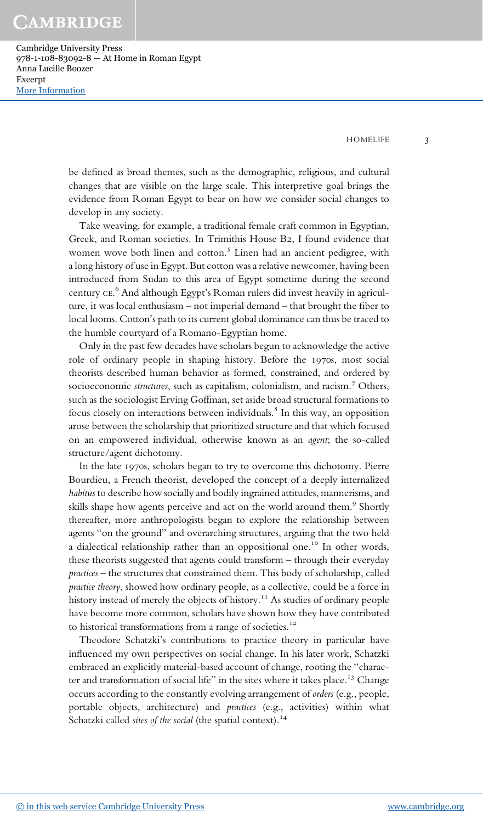Cambridge University Press 978-1-108-83092-8 — At Home in Roman Egypt Anna Lucille Boozer Excerpt [More Information](www.cambridge.org/9781108830928)

HOMELIFE 3

be defined as broad themes, such as the demographic, religious, and cultural changes that are visible on the large scale. This interpretive goal brings the evidence from Roman Egypt to bear on how we consider social changes to develop in any society.

Take weaving, for example, a traditional female craft common in Egyptian, Greek, and Roman societies. In Trimithis House B2, I found evidence that women wove both linen and cotton.<sup>5</sup> Linen had an ancient pedigree, with a long history of use in Egypt. But cotton was a relative newcomer, having been introduced from Sudan to this area of Egypt sometime during the second century ce. <sup>6</sup> And although Egypt's Roman rulers did invest heavily in agriculture, it was local enthusiasm – not imperial demand – that brought the fiber to local looms. Cotton's path to its current global dominance can thus be traced to the humble courtyard of a Romano-Egyptian home.

Only in the past few decades have scholars begun to acknowledge the active role of ordinary people in shaping history. Before the 1970s, most social theorists described human behavior as formed, constrained, and ordered by socioeconomic *structures*, such as capitalism, colonialism, and racism.<sup>7</sup> Others, such as the sociologist Erving Goffman, set aside broad structural formations to focus closely on interactions between individuals. $^8$  In this way, an opposition arose between the scholarship that prioritized structure and that which focused on an empowered individual, otherwise known as an agent; the so-called structure/agent dichotomy.

In the late 1970s, scholars began to try to overcome this dichotomy. Pierre Bourdieu, a French theorist, developed the concept of a deeply internalized habitus to describe how socially and bodily ingrained attitudes, mannerisms, and skills shape how agents perceive and act on the world around them.<sup>9</sup> Shortly thereafter, more anthropologists began to explore the relationship between agents "on the ground" and overarching structures, arguing that the two held a dialectical relationship rather than an oppositional one.<sup>10</sup> In other words, these theorists suggested that agents could transform – through their everyday practices – the structures that constrained them. This body of scholarship, called practice theory, showed how ordinary people, as a collective, could be a force in history instead of merely the objects of history.<sup>11</sup> As studies of ordinary people have become more common, scholars have shown how they have contributed to historical transformations from a range of societies.<sup>12</sup>

Theodore Schatzki's contributions to practice theory in particular have influenced my own perspectives on social change. In his later work, Schatzki embraced an explicitly material-based account of change, rooting the "character and transformation of social life" in the sites where it takes place.<sup>13</sup> Change occurs according to the constantly evolving arrangement of orders (e.g., people, portable objects, architecture) and practices (e.g., activities) within what Schatzki called sites of the social (the spatial context).<sup>14</sup>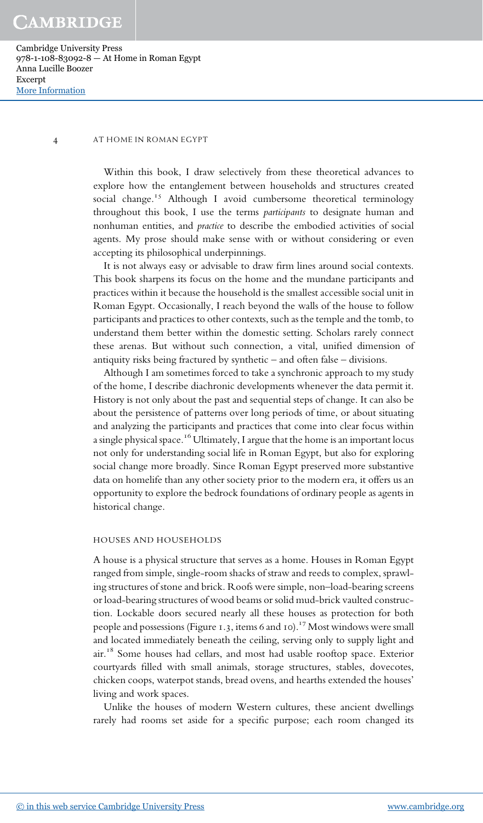Cambridge University Press 978-1-108-83092-8 — At Home in Roman Egypt Anna Lucille Boozer Excerpt [More Information](www.cambridge.org/9781108830928)

#### 4 AT HOME IN ROMAN EGYPT

Within this book, I draw selectively from these theoretical advances to explore how the entanglement between households and structures created social change.<sup>15</sup> Although I avoid cumbersome theoretical terminology throughout this book, I use the terms *participants* to designate human and nonhuman entities, and *practice* to describe the embodied activities of social agents. My prose should make sense with or without considering or even accepting its philosophical underpinnings.

It is not always easy or advisable to draw firm lines around social contexts. This book sharpens its focus on the home and the mundane participants and practices within it because the household is the smallest accessible social unit in Roman Egypt. Occasionally, I reach beyond the walls of the house to follow participants and practices to other contexts, such as the temple and the tomb, to understand them better within the domestic setting. Scholars rarely connect these arenas. But without such connection, a vital, unified dimension of antiquity risks being fractured by synthetic – and often false – divisions.

Although I am sometimes forced to take a synchronic approach to my study of the home, I describe diachronic developments whenever the data permit it. History is not only about the past and sequential steps of change. It can also be about the persistence of patterns over long periods of time, or about situating and analyzing the participants and practices that come into clear focus within a single physical space.<sup>16</sup> Ultimately, I argue that the home is an important locus not only for understanding social life in Roman Egypt, but also for exploring social change more broadly. Since Roman Egypt preserved more substantive data on homelife than any other society prior to the modern era, it offers us an opportunity to explore the bedrock foundations of ordinary people as agents in historical change.

#### HOUSES AND HOUSEHOLDS

A house is a physical structure that serves as a home. Houses in Roman Egypt ranged from simple, single-room shacks of straw and reeds to complex, sprawling structures of stone and brick. Roofs were simple, non–load-bearing screens or load-bearing structures of wood beams or solid mud-brick vaulted construction. Lockable doors secured nearly all these houses as protection for both people and possessions (Figure 1.3, items 6 and 10).<sup>17</sup> Most windows were small and located immediately beneath the ceiling, serving only to supply light and air.<sup>18</sup> Some houses had cellars, and most had usable rooftop space. Exterior courtyards filled with small animals, storage structures, stables, dovecotes, chicken coops, waterpot stands, bread ovens, and hearths extended the houses' living and work spaces.

Unlike the houses of modern Western cultures, these ancient dwellings rarely had rooms set aside for a specific purpose; each room changed its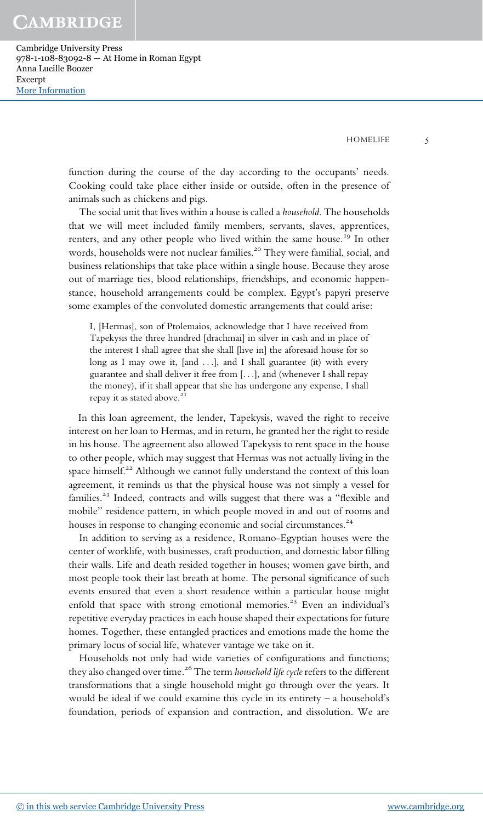Cambridge University Press 978-1-108-83092-8 — At Home in Roman Egypt Anna Lucille Boozer Excerpt [More Information](www.cambridge.org/9781108830928)

HOMELIFE 5

function during the course of the day according to the occupants' needs. Cooking could take place either inside or outside, often in the presence of animals such as chickens and pigs.

The social unit that lives within a house is called a household. The households that we will meet included family members, servants, slaves, apprentices, renters, and any other people who lived within the same house.<sup>19</sup> In other words, households were not nuclear families.<sup>20</sup> They were familial, social, and business relationships that take place within a single house. Because they arose out of marriage ties, blood relationships, friendships, and economic happenstance, household arrangements could be complex. Egypt's papyri preserve some examples of the convoluted domestic arrangements that could arise:

I, [Hermas], son of Ptolemaios, acknowledge that I have received from Tapekysis the three hundred [drachmai] in silver in cash and in place of the interest I shall agree that she shall [live in] the aforesaid house for so long as I may owe it, [and ...], and I shall guarantee (it) with every guarantee and shall deliver it free from [...], and (whenever I shall repay the money), if it shall appear that she has undergone any expense, I shall repay it as stated above.<sup>21</sup>

In this loan agreement, the lender, Tapekysis, waved the right to receive interest on her loan to Hermas, and in return, he granted her the right to reside in his house. The agreement also allowed Tapekysis to rent space in the house to other people, which may suggest that Hermas was not actually living in the space himself.<sup>22</sup> Although we cannot fully understand the context of this loan agreement, it reminds us that the physical house was not simply a vessel for families.<sup>23</sup> Indeed, contracts and wills suggest that there was a "flexible and mobile" residence pattern, in which people moved in and out of rooms and houses in response to changing economic and social circumstances.<sup>24</sup>

In addition to serving as a residence, Romano-Egyptian houses were the center of worklife, with businesses, craft production, and domestic labor filling their walls. Life and death resided together in houses; women gave birth, and most people took their last breath at home. The personal significance of such events ensured that even a short residence within a particular house might enfold that space with strong emotional memories.<sup>25</sup> Even an individual's repetitive everyday practices in each house shaped their expectations for future homes. Together, these entangled practices and emotions made the home the primary locus of social life, whatever vantage we take on it.

Households not only had wide varieties of configurations and functions; they also changed over time.<sup>26</sup> The term *household life cycle* refers to the different transformations that a single household might go through over the years. It would be ideal if we could examine this cycle in its entirety – a household's foundation, periods of expansion and contraction, and dissolution. We are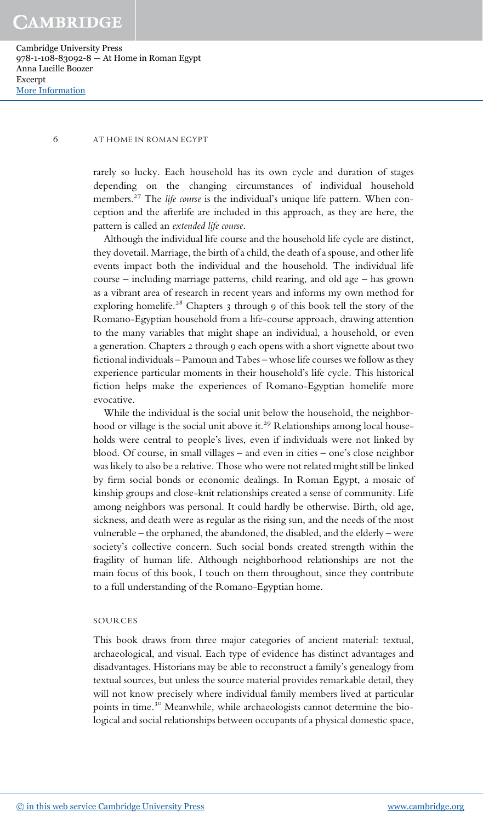Cambridge University Press 978-1-108-83092-8 — At Home in Roman Egypt Anna Lucille Boozer Excerpt [More Information](www.cambridge.org/9781108830928)

#### 6 AT HOME IN ROMAN EGYPT

rarely so lucky. Each household has its own cycle and duration of stages depending on the changing circumstances of individual household members.<sup>27</sup> The *life course* is the individual's unique life pattern. When conception and the afterlife are included in this approach, as they are here, the pattern is called an extended life course.

Although the individual life course and the household life cycle are distinct, they dovetail. Marriage, the birth of a child, the death of a spouse, and other life events impact both the individual and the household. The individual life course – including marriage patterns, child rearing, and old age – has grown as a vibrant area of research in recent years and informs my own method for exploring homelife.<sup>28</sup> Chapters 3 through 9 of this book tell the story of the Romano-Egyptian household from a life-course approach, drawing attention to the many variables that might shape an individual, a household, or even a generation. Chapters 2 through 9 each opens with a short vignette about two fictional individuals – Pamoun and Tabes – whose life courses we follow as they experience particular moments in their household's life cycle. This historical fiction helps make the experiences of Romano-Egyptian homelife more evocative.

While the individual is the social unit below the household, the neighborhood or village is the social unit above it.<sup>29</sup> Relationships among local households were central to people's lives, even if individuals were not linked by blood. Of course, in small villages – and even in cities – one's close neighbor was likely to also be a relative. Those who were not related might still be linked by firm social bonds or economic dealings. In Roman Egypt, a mosaic of kinship groups and close-knit relationships created a sense of community. Life among neighbors was personal. It could hardly be otherwise. Birth, old age, sickness, and death were as regular as the rising sun, and the needs of the most vulnerable – the orphaned, the abandoned, the disabled, and the elderly – were society's collective concern. Such social bonds created strength within the fragility of human life. Although neighborhood relationships are not the main focus of this book, I touch on them throughout, since they contribute to a full understanding of the Romano-Egyptian home.

## SOURCES

This book draws from three major categories of ancient material: textual, archaeological, and visual. Each type of evidence has distinct advantages and disadvantages. Historians may be able to reconstruct a family's genealogy from textual sources, but unless the source material provides remarkable detail, they will not know precisely where individual family members lived at particular points in time.<sup>30</sup> Meanwhile, while archaeologists cannot determine the biological and social relationships between occupants of a physical domestic space,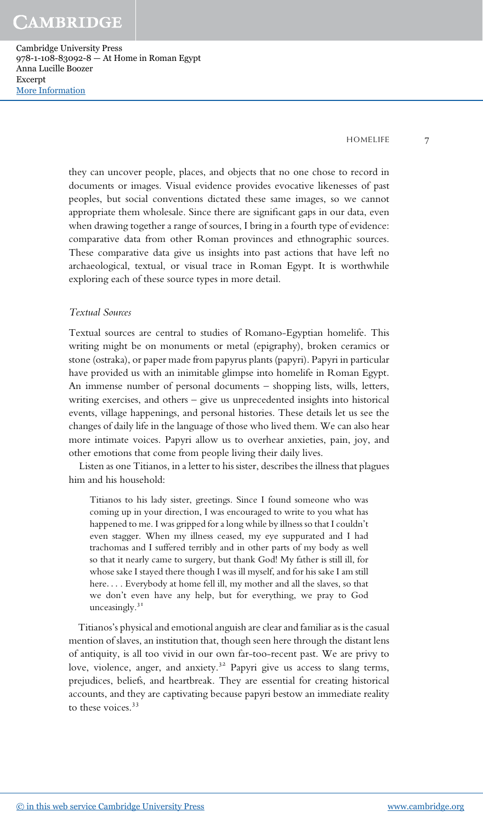Cambridge University Press 978-1-108-83092-8 — At Home in Roman Egypt Anna Lucille Boozer Excerpt [More Information](www.cambridge.org/9781108830928)

HOMELIFE 7

they can uncover people, places, and objects that no one chose to record in documents or images. Visual evidence provides evocative likenesses of past peoples, but social conventions dictated these same images, so we cannot appropriate them wholesale. Since there are significant gaps in our data, even when drawing together a range of sources, I bring in a fourth type of evidence: comparative data from other Roman provinces and ethnographic sources. These comparative data give us insights into past actions that have left no archaeological, textual, or visual trace in Roman Egypt. It is worthwhile exploring each of these source types in more detail.

## Textual Sources

Textual sources are central to studies of Romano-Egyptian homelife. This writing might be on monuments or metal (epigraphy), broken ceramics or stone (ostraka), or paper made from papyrus plants (papyri). Papyri in particular have provided us with an inimitable glimpse into homelife in Roman Egypt. An immense number of personal documents – shopping lists, wills, letters, writing exercises, and others – give us unprecedented insights into historical events, village happenings, and personal histories. These details let us see the changes of daily life in the language of those who lived them. We can also hear more intimate voices. Papyri allow us to overhear anxieties, pain, joy, and other emotions that come from people living their daily lives.

Listen as one Titianos, in a letter to his sister, describes the illness that plagues him and his household:

Titianos to his lady sister, greetings. Since I found someone who was coming up in your direction, I was encouraged to write to you what has happened to me. I was gripped for a long while by illness so that I couldn't even stagger. When my illness ceased, my eye suppurated and I had trachomas and I suffered terribly and in other parts of my body as well so that it nearly came to surgery, but thank God! My father is still ill, for whose sake I stayed there though I was ill myself, and for his sake I am still here... . Everybody at home fell ill, my mother and all the slaves, so that we don't even have any help, but for everything, we pray to God unceasingly.<sup>31</sup>

Titianos's physical and emotional anguish are clear and familiar as is the casual mention of slaves, an institution that, though seen here through the distant lens of antiquity, is all too vivid in our own far-too-recent past. We are privy to love, violence, anger, and anxiety.<sup>32</sup> Papyri give us access to slang terms, prejudices, beliefs, and heartbreak. They are essential for creating historical accounts, and they are captivating because papyri bestow an immediate reality to these voices.<sup>33</sup>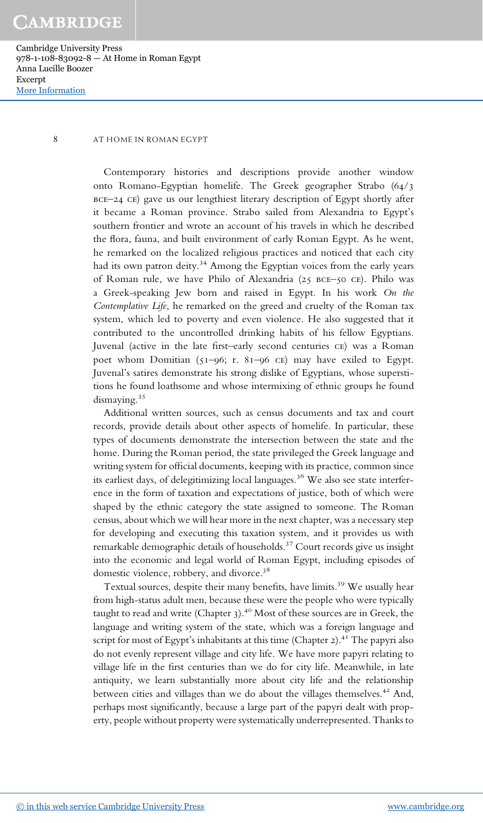Cambridge University Press 978-1-108-83092-8 — At Home in Roman Egypt Anna Lucille Boozer Excerpt [More Information](www.cambridge.org/9781108830928)

## 8 AT HOME IN ROMAN EGYPT

Contemporary histories and descriptions provide another window onto Romano-Egyptian homelife. The Greek geographer Strabo (64/3 bce–24 ce) gave us our lengthiest literary description of Egypt shortly after it became a Roman province. Strabo sailed from Alexandria to Egypt's southern frontier and wrote an account of his travels in which he described the flora, fauna, and built environment of early Roman Egypt. As he went, he remarked on the localized religious practices and noticed that each city had its own patron deity.<sup>34</sup> Among the Egyptian voices from the early years of Roman rule, we have Philo of Alexandria (25 bce–50 ce). Philo was a Greek-speaking Jew born and raised in Egypt. In his work On the Contemplative Life, he remarked on the greed and cruelty of the Roman tax system, which led to poverty and even violence. He also suggested that it contributed to the uncontrolled drinking habits of his fellow Egyptians. Juvenal (active in the late first–early second centuries ce) was a Roman poet whom Domitian (51–96; r. 81–96 ce) may have exiled to Egypt. Juvenal's satires demonstrate his strong dislike of Egyptians, whose superstitions he found loathsome and whose intermixing of ethnic groups he found dismaying.<sup>35</sup>

Additional written sources, such as census documents and tax and court records, provide details about other aspects of homelife. In particular, these types of documents demonstrate the intersection between the state and the home. During the Roman period, the state privileged the Greek language and writing system for official documents, keeping with its practice, common since its earliest days, of delegitimizing local languages.<sup>36</sup> We also see state interference in the form of taxation and expectations of justice, both of which were shaped by the ethnic category the state assigned to someone. The Roman census, about which we will hear more in the next chapter, was a necessary step for developing and executing this taxation system, and it provides us with remarkable demographic details of households.<sup>37</sup> Court records give us insight into the economic and legal world of Roman Egypt, including episodes of domestic violence, robbery, and divorce.<sup>38</sup>

Textual sources, despite their many benefits, have limits.<sup>39</sup> We usually hear from high-status adult men, because these were the people who were typically taught to read and write (Chapter  $3$ ).<sup>40</sup> Most of these sources are in Greek, the language and writing system of the state, which was a foreign language and script for most of Egypt's inhabitants at this time (Chapter 2).<sup>41</sup> The papyri also do not evenly represent village and city life. We have more papyri relating to village life in the first centuries than we do for city life. Meanwhile, in late antiquity, we learn substantially more about city life and the relationship between cities and villages than we do about the villages themselves.<sup>42</sup> And, perhaps most significantly, because a large part of the papyri dealt with property, people without property were systematically underrepresented. Thanks to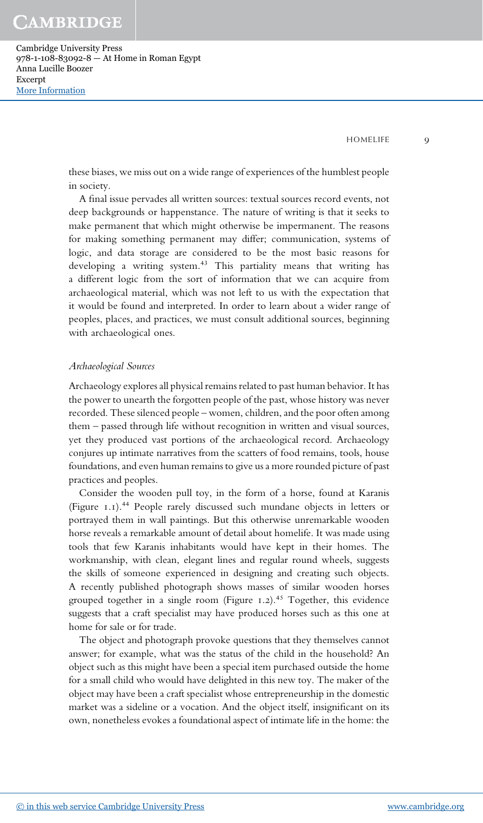Cambridge University Press 978-1-108-83092-8 — At Home in Roman Egypt Anna Lucille Boozer Excerpt [More Information](www.cambridge.org/9781108830928)

HOMELIFE 9

these biases, we miss out on a wide range of experiences of the humblest people in society.

A final issue pervades all written sources: textual sources record events, not deep backgrounds or happenstance. The nature of writing is that it seeks to make permanent that which might otherwise be impermanent. The reasons for making something permanent may differ; communication, systems of logic, and data storage are considered to be the most basic reasons for developing a writing system.<sup>43</sup> This partiality means that writing has a different logic from the sort of information that we can acquire from archaeological material, which was not left to us with the expectation that it would be found and interpreted. In order to learn about a wider range of peoples, places, and practices, we must consult additional sources, beginning with archaeological ones.

### Archaeological Sources

Archaeology explores all physical remains related to past human behavior. It has the power to unearth the forgotten people of the past, whose history was never recorded. These silenced people – women, children, and the poor often among them – passed through life without recognition in written and visual sources, yet they produced vast portions of the archaeological record. Archaeology conjures up intimate narratives from the scatters of food remains, tools, house foundations, and even human remains to give us a more rounded picture of past practices and peoples.

Consider the wooden pull toy, in the form of a horse, found at Karanis (Figure 1.1).<sup>44</sup> People rarely discussed such mundane objects in letters or portrayed them in wall paintings. But this otherwise unremarkable wooden horse reveals a remarkable amount of detail about homelife. It was made using tools that few Karanis inhabitants would have kept in their homes. The workmanship, with clean, elegant lines and regular round wheels, suggests the skills of someone experienced in designing and creating such objects. A recently published photograph shows masses of similar wooden horses grouped together in a single room (Figure 1.2).<sup>45</sup> Together, this evidence suggests that a craft specialist may have produced horses such as this one at home for sale or for trade.

The object and photograph provoke questions that they themselves cannot answer; for example, what was the status of the child in the household? An object such as this might have been a special item purchased outside the home for a small child who would have delighted in this new toy. The maker of the object may have been a craft specialist whose entrepreneurship in the domestic market was a sideline or a vocation. And the object itself, insignificant on its own, nonetheless evokes a foundational aspect of intimate life in the home: the